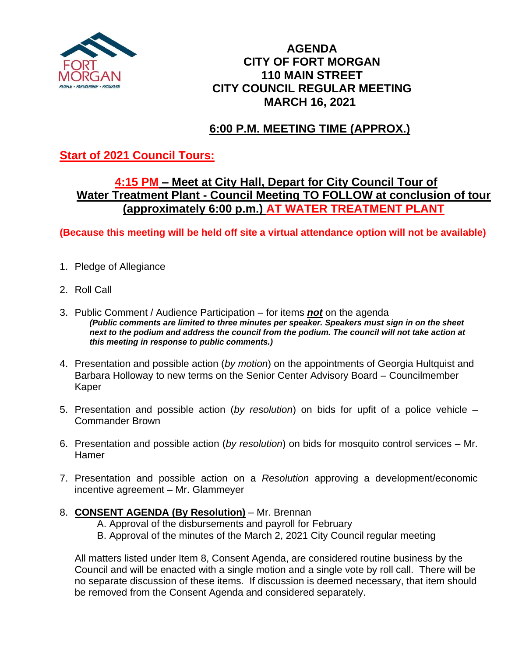

### **AGENDA CITY OF FORT MORGAN 110 MAIN STREET CITY COUNCIL REGULAR MEETING MARCH 16, 2021**

# **6:00 P.M. MEETING TIME (APPROX.)**

### **Start of 2021 Council Tours:**

### **4:15 PM – Meet at City Hall, Depart for City Council Tour of Water Treatment Plant - Council Meeting TO FOLLOW at conclusion of tour (approximately 6:00 p.m.) AT WATER TREATMENT PLANT**

**(Because this meeting will be held off site a virtual attendance option will not be available)**

- 1. Pledge of Allegiance
- 2. Roll Call
- 3. Public Comment / Audience Participation for items *not* on the agenda *(Public comments are limited to three minutes per speaker. Speakers must sign in on the sheet*  next to the podium and address the council from the podium. The council will not take action at *this meeting in response to public comments.)*
- 4. Presentation and possible action (*by motion*) on the appointments of Georgia Hultquist and Barbara Holloway to new terms on the Senior Center Advisory Board – Councilmember Kaper
- 5. Presentation and possible action (*by resolution*) on bids for upfit of a police vehicle Commander Brown
- 6. Presentation and possible action (*by resolution*) on bids for mosquito control services Mr. Hamer
- 7. Presentation and possible action on a *Resolution* approving a development/economic incentive agreement – Mr. Glammeyer
- 8. **CONSENT AGENDA (By Resolution)** Mr. Brennan
	- A. Approval of the disbursements and payroll for February
	- B. Approval of the minutes of the March 2, 2021 City Council regular meeting

All matters listed under Item 8, Consent Agenda, are considered routine business by the Council and will be enacted with a single motion and a single vote by roll call. There will be no separate discussion of these items. If discussion is deemed necessary, that item should be removed from the Consent Agenda and considered separately.